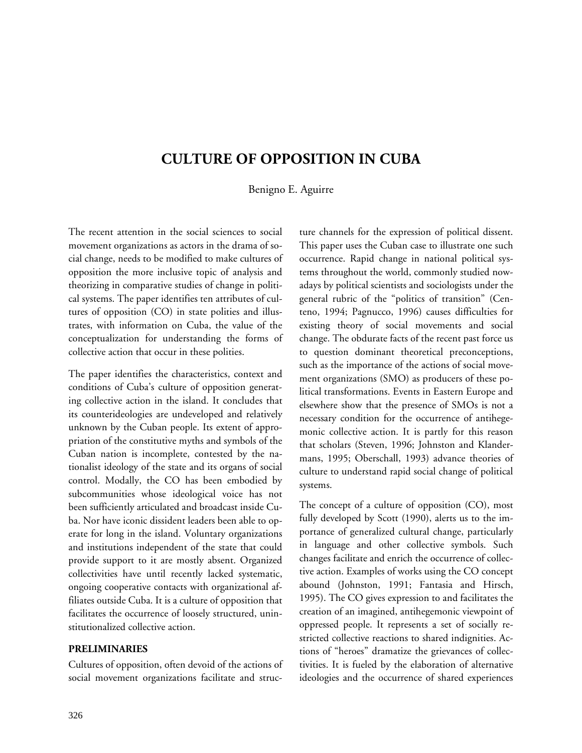# **CULTURE OF OPPOSITION IN CUBA**

#### Benigno E. Aguirre

The recent attention in the social sciences to social movement organizations as actors in the drama of social change, needs to be modified to make cultures of opposition the more inclusive topic of analysis and theorizing in comparative studies of change in political systems. The paper identifies ten attributes of cultures of opposition (CO) in state polities and illustrates, with information on Cuba, the value of the conceptualization for understanding the forms of collective action that occur in these polities.

The paper identifies the characteristics, context and conditions of Cuba's culture of opposition generating collective action in the island. It concludes that its counterideologies are undeveloped and relatively unknown by the Cuban people. Its extent of appropriation of the constitutive myths and symbols of the Cuban nation is incomplete, contested by the nationalist ideology of the state and its organs of social control. Modally, the CO has been embodied by subcommunities whose ideological voice has not been sufficiently articulated and broadcast inside Cuba. Nor have iconic dissident leaders been able to operate for long in the island. Voluntary organizations and institutions independent of the state that could provide support to it are mostly absent. Organized collectivities have until recently lacked systematic, ongoing cooperative contacts with organizational affiliates outside Cuba. It is a culture of opposition that facilitates the occurrence of loosely structured, uninstitutionalized collective action.

#### **PRELIMINARIES**

Cultures of opposition, often devoid of the actions of social movement organizations facilitate and structure channels for the expression of political dissent. This paper uses the Cuban case to illustrate one such occurrence. Rapid change in national political systems throughout the world, commonly studied nowadays by political scientists and sociologists under the general rubric of the "politics of transition" (Centeno, 1994; Pagnucco, 1996) causes difficulties for existing theory of social movements and social change. The obdurate facts of the recent past force us to question dominant theoretical preconceptions, such as the importance of the actions of social movement organizations (SMO) as producers of these political transformations. Events in Eastern Europe and elsewhere show that the presence of SMOs is not a necessary condition for the occurrence of antihegemonic collective action. It is partly for this reason that scholars (Steven, 1996; Johnston and Klandermans, 1995; Oberschall, 1993) advance theories of culture to understand rapid social change of political systems.

The concept of a culture of opposition (CO), most fully developed by Scott (1990), alerts us to the importance of generalized cultural change, particularly in language and other collective symbols. Such changes facilitate and enrich the occurrence of collective action. Examples of works using the CO concept abound (Johnston, 1991; Fantasia and Hirsch, 1995). The CO gives expression to and facilitates the creation of an imagined, antihegemonic viewpoint of oppressed people. It represents a set of socially restricted collective reactions to shared indignities. Actions of "heroes" dramatize the grievances of collectivities. It is fueled by the elaboration of alternative ideologies and the occurrence of shared experiences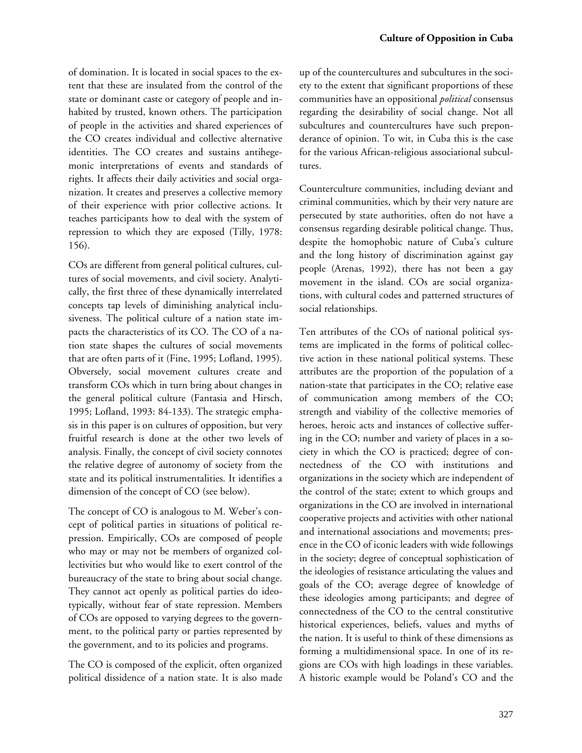of domination. It is located in social spaces to the extent that these are insulated from the control of the state or dominant caste or category of people and inhabited by trusted, known others. The participation of people in the activities and shared experiences of the CO creates individual and collective alternative identities. The CO creates and sustains antihegemonic interpretations of events and standards of rights. It affects their daily activities and social organization. It creates and preserves a collective memory of their experience with prior collective actions. It teaches participants how to deal with the system of repression to which they are exposed (Tilly, 1978: 156).

COs are different from general political cultures, cultures of social movements, and civil society. Analytically, the first three of these dynamically interrelated concepts tap levels of diminishing analytical inclusiveness. The political culture of a nation state impacts the characteristics of its CO. The CO of a nation state shapes the cultures of social movements that are often parts of it (Fine, 1995; Lofland, 1995). Obversely, social movement cultures create and transform COs which in turn bring about changes in the general political culture (Fantasia and Hirsch, 1995; Lofland, 1993: 84-133). The strategic emphasis in this paper is on cultures of opposition, but very fruitful research is done at the other two levels of analysis. Finally, the concept of civil society connotes the relative degree of autonomy of society from the state and its political instrumentalities. It identifies a dimension of the concept of CO (see below).

The concept of CO is analogous to M. Weber's concept of political parties in situations of political repression. Empirically, COs are composed of people who may or may not be members of organized collectivities but who would like to exert control of the bureaucracy of the state to bring about social change. They cannot act openly as political parties do ideotypically, without fear of state repression. Members of COs are opposed to varying degrees to the government, to the political party or parties represented by the government, and to its policies and programs.

The CO is composed of the explicit, often organized political dissidence of a nation state. It is also made up of the countercultures and subcultures in the society to the extent that significant proportions of these communities have an oppositional *political* consensus regarding the desirability of social change. Not all subcultures and countercultures have such preponderance of opinion. To wit, in Cuba this is the case for the various African-religious associational subcultures.

Counterculture communities, including deviant and criminal communities, which by their very nature are persecuted by state authorities, often do not have a consensus regarding desirable political change. Thus, despite the homophobic nature of Cuba's culture and the long history of discrimination against gay people (Arenas, 1992), there has not been a gay movement in the island. COs are social organizations, with cultural codes and patterned structures of social relationships.

Ten attributes of the COs of national political systems are implicated in the forms of political collective action in these national political systems. These attributes are the proportion of the population of a nation-state that participates in the CO; relative ease of communication among members of the CO; strength and viability of the collective memories of heroes, heroic acts and instances of collective suffering in the CO; number and variety of places in a society in which the CO is practiced; degree of connectedness of the CO with institutions and organizations in the society which are independent of the control of the state; extent to which groups and organizations in the CO are involved in international cooperative projects and activities with other national and international associations and movements; presence in the CO of iconic leaders with wide followings in the society; degree of conceptual sophistication of the ideologies of resistance articulating the values and goals of the CO; average degree of knowledge of these ideologies among participants; and degree of connectedness of the CO to the central constitutive historical experiences, beliefs, values and myths of the nation. It is useful to think of these dimensions as forming a multidimensional space. In one of its regions are COs with high loadings in these variables. A historic example would be Poland's CO and the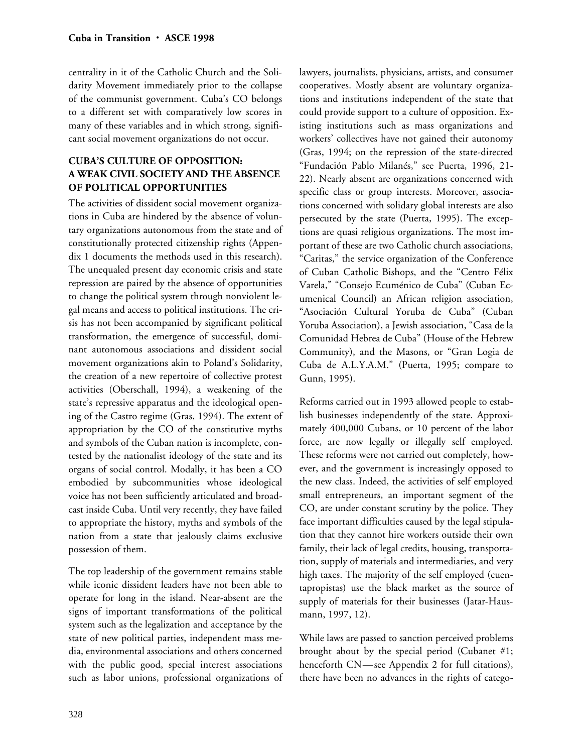centrality in it of the Catholic Church and the Solidarity Movement immediately prior to the collapse of the communist government. Cuba's CO belongs to a different set with comparatively low scores in many of these variables and in which strong, significant social movement organizations do not occur.

### **CUBA'S CULTURE OF OPPOSITION: A WEAK CIVIL SOCIETY AND THE ABSENCE OF POLITICAL OPPORTUNITIES**

The activities of dissident social movement organizations in Cuba are hindered by the absence of voluntary organizations autonomous from the state and of constitutionally protected citizenship rights (Appendix 1 documents the methods used in this research). The unequaled present day economic crisis and state repression are paired by the absence of opportunities to change the political system through nonviolent legal means and access to political institutions. The crisis has not been accompanied by significant political transformation, the emergence of successful, dominant autonomous associations and dissident social movement organizations akin to Poland's Solidarity, the creation of a new repertoire of collective protest activities (Oberschall, 1994), a weakening of the state's repressive apparatus and the ideological opening of the Castro regime (Gras, 1994). The extent of appropriation by the CO of the constitutive myths and symbols of the Cuban nation is incomplete, contested by the nationalist ideology of the state and its organs of social control. Modally, it has been a CO embodied by subcommunities whose ideological voice has not been sufficiently articulated and broadcast inside Cuba. Until very recently, they have failed to appropriate the history, myths and symbols of the nation from a state that jealously claims exclusive possession of them.

The top leadership of the government remains stable while iconic dissident leaders have not been able to operate for long in the island. Near-absent are the signs of important transformations of the political system such as the legalization and acceptance by the state of new political parties, independent mass media, environmental associations and others concerned with the public good, special interest associations such as labor unions, professional organizations of lawyers, journalists, physicians, artists, and consumer cooperatives. Mostly absent are voluntary organizations and institutions independent of the state that could provide support to a culture of opposition. Existing institutions such as mass organizations and workers' collectives have not gained their autonomy (Gras, 1994; on the repression of the state-directed "Fundación Pablo Milanés," see Puerta, 1996, 21- 22). Nearly absent are organizations concerned with specific class or group interests. Moreover, associations concerned with solidary global interests are also persecuted by the state (Puerta, 1995). The exceptions are quasi religious organizations. The most important of these are two Catholic church associations, "Caritas," the service organization of the Conference of Cuban Catholic Bishops, and the "Centro Félix Varela," "Consejo Ecuménico de Cuba" (Cuban Ecumenical Council) an African religion association, "Asociación Cultural Yoruba de Cuba" (Cuban Yoruba Association), a Jewish association, "Casa de la Comunidad Hebrea de Cuba" (House of the Hebrew Community), and the Masons, or "Gran Logia de Cuba de A.L.Y.A.M." (Puerta, 1995; compare to Gunn, 1995).

Reforms carried out in 1993 allowed people to establish businesses independently of the state. Approximately 400,000 Cubans, or 10 percent of the labor force, are now legally or illegally self employed. These reforms were not carried out completely, however, and the government is increasingly opposed to the new class. Indeed, the activities of self employed small entrepreneurs, an important segment of the CO, are under constant scrutiny by the police. They face important difficulties caused by the legal stipulation that they cannot hire workers outside their own family, their lack of legal credits, housing, transportation, supply of materials and intermediaries, and very high taxes. The majority of the self employed (cuentapropistas) use the black market as the source of supply of materials for their businesses (Jatar-Hausmann, 1997, 12).

While laws are passed to sanction perceived problems brought about by the special period (Cubanet #1; henceforth CN—see Appendix 2 for full citations), there have been no advances in the rights of catego-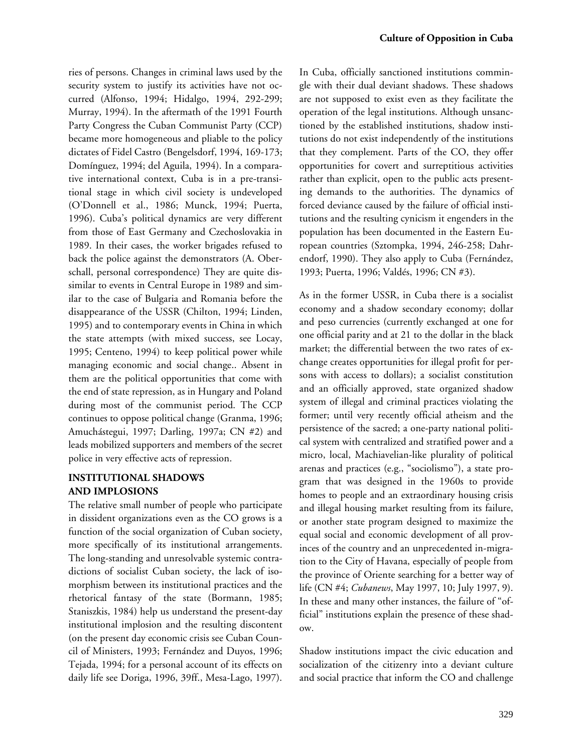ries of persons. Changes in criminal laws used by the security system to justify its activities have not occurred (Alfonso, 1994; Hidalgo, 1994, 292-299; Murray, 1994). In the aftermath of the 1991 Fourth Party Congress the Cuban Communist Party (CCP) became more homogeneous and pliable to the policy dictates of Fidel Castro (Bengelsdorf, 1994, 169-173; Domínguez, 1994; del Aguila, 1994). In a comparative international context, Cuba is in a pre-transitional stage in which civil society is undeveloped (O'Donnell et al., 1986; Munck, 1994; Puerta, 1996). Cuba's political dynamics are very different from those of East Germany and Czechoslovakia in 1989. In their cases, the worker brigades refused to back the police against the demonstrators (A. Oberschall, personal correspondence) They are quite dissimilar to events in Central Europe in 1989 and similar to the case of Bulgaria and Romania before the disappearance of the USSR (Chilton, 1994; Linden, 1995) and to contemporary events in China in which the state attempts (with mixed success, see Locay, 1995; Centeno, 1994) to keep political power while managing economic and social change.. Absent in them are the political opportunities that come with the end of state repression, as in Hungary and Poland during most of the communist period. The CCP continues to oppose political change (Granma, 1996; Amuchástegui, 1997; Darling, 1997a; CN #2) and leads mobilized supporters and members of the secret police in very effective acts of repression.

### **INSTITUTIONAL SHADOWS AND IMPLOSIONS**

The relative small number of people who participate in dissident organizations even as the CO grows is a function of the social organization of Cuban society, more specifically of its institutional arrangements. The long-standing and unresolvable systemic contradictions of socialist Cuban society, the lack of isomorphism between its institutional practices and the rhetorical fantasy of the state (Bormann, 1985; Staniszkis, 1984) help us understand the present-day institutional implosion and the resulting discontent (on the present day economic crisis see Cuban Council of Ministers, 1993; Fernández and Duyos, 1996; Tejada, 1994; for a personal account of its effects on daily life see Doriga, 1996, 39ff., Mesa-Lago, 1997). In Cuba, officially sanctioned institutions commingle with their dual deviant shadows. These shadows are not supposed to exist even as they facilitate the operation of the legal institutions. Although unsanctioned by the established institutions, shadow institutions do not exist independently of the institutions that they complement. Parts of the CO, they offer opportunities for covert and surreptitious activities rather than explicit, open to the public acts presenting demands to the authorities. The dynamics of forced deviance caused by the failure of official institutions and the resulting cynicism it engenders in the population has been documented in the Eastern European countries (Sztompka, 1994, 246-258; Dahrendorf, 1990). They also apply to Cuba (Fernández, 1993; Puerta, 1996; Valdés, 1996; CN #3).

As in the former USSR, in Cuba there is a socialist economy and a shadow secondary economy; dollar and peso currencies (currently exchanged at one for one official parity and at 21 to the dollar in the black market; the differential between the two rates of exchange creates opportunities for illegal profit for persons with access to dollars); a socialist constitution and an officially approved, state organized shadow system of illegal and criminal practices violating the former; until very recently official atheism and the persistence of the sacred; a one-party national political system with centralized and stratified power and a micro, local, Machiavelian-like plurality of political arenas and practices (e.g., "sociolismo"), a state program that was designed in the 1960s to provide homes to people and an extraordinary housing crisis and illegal housing market resulting from its failure, or another state program designed to maximize the equal social and economic development of all provinces of the country and an unprecedented in-migration to the City of Havana, especially of people from the province of Oriente searching for a better way of life (CN #4; *Cubanews*, May 1997, 10; July 1997, 9). In these and many other instances, the failure of "official" institutions explain the presence of these shadow.

Shadow institutions impact the civic education and socialization of the citizenry into a deviant culture and social practice that inform the CO and challenge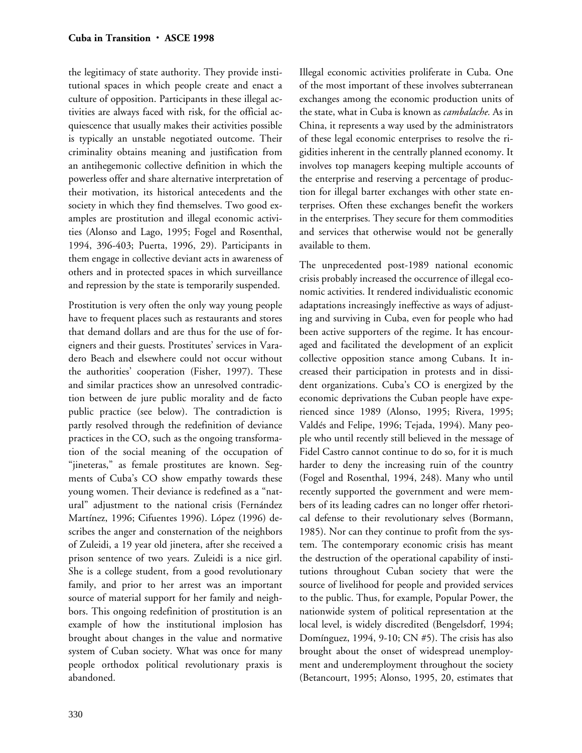the legitimacy of state authority. They provide institutional spaces in which people create and enact a culture of opposition. Participants in these illegal activities are always faced with risk, for the official acquiescence that usually makes their activities possible is typically an unstable negotiated outcome. Their criminality obtains meaning and justification from an antihegemonic collective definition in which the powerless offer and share alternative interpretation of their motivation, its historical antecedents and the society in which they find themselves. Two good examples are prostitution and illegal economic activities (Alonso and Lago, 1995; Fogel and Rosenthal, 1994, 396-403; Puerta, 1996, 29). Participants in them engage in collective deviant acts in awareness of others and in protected spaces in which surveillance and repression by the state is temporarily suspended.

Prostitution is very often the only way young people have to frequent places such as restaurants and stores that demand dollars and are thus for the use of foreigners and their guests. Prostitutes' services in Varadero Beach and elsewhere could not occur without the authorities' cooperation (Fisher, 1997). These and similar practices show an unresolved contradiction between de jure public morality and de facto public practice (see below). The contradiction is partly resolved through the redefinition of deviance practices in the CO, such as the ongoing transformation of the social meaning of the occupation of "jineteras," as female prostitutes are known. Segments of Cuba's CO show empathy towards these young women. Their deviance is redefined as a "natural" adjustment to the national crisis (Fernández Martínez, 1996; Cifuentes 1996). López (1996) describes the anger and consternation of the neighbors of Zuleidi, a 19 year old jinetera, after she received a prison sentence of two years. Zuleidi is a nice girl. She is a college student, from a good revolutionary family, and prior to her arrest was an important source of material support for her family and neighbors. This ongoing redefinition of prostitution is an example of how the institutional implosion has brought about changes in the value and normative system of Cuban society. What was once for many people orthodox political revolutionary praxis is abandoned.

Illegal economic activities proliferate in Cuba. One of the most important of these involves subterranean exchanges among the economic production units of the state, what in Cuba is known as *cambalache.* As in China, it represents a way used by the administrators of these legal economic enterprises to resolve the rigidities inherent in the centrally planned economy. It involves top managers keeping multiple accounts of the enterprise and reserving a percentage of production for illegal barter exchanges with other state enterprises. Often these exchanges benefit the workers in the enterprises. They secure for them commodities and services that otherwise would not be generally available to them.

The unprecedented post-1989 national economic crisis probably increased the occurrence of illegal economic activities. It rendered individualistic economic adaptations increasingly ineffective as ways of adjusting and surviving in Cuba, even for people who had been active supporters of the regime. It has encouraged and facilitated the development of an explicit collective opposition stance among Cubans. It increased their participation in protests and in dissident organizations. Cuba's CO is energized by the economic deprivations the Cuban people have experienced since 1989 (Alonso, 1995; Rivera, 1995; Valdés and Felipe, 1996; Tejada, 1994). Many people who until recently still believed in the message of Fidel Castro cannot continue to do so, for it is much harder to deny the increasing ruin of the country (Fogel and Rosenthal, 1994, 248). Many who until recently supported the government and were members of its leading cadres can no longer offer rhetorical defense to their revolutionary selves (Bormann, 1985). Nor can they continue to profit from the system. The contemporary economic crisis has meant the destruction of the operational capability of institutions throughout Cuban society that were the source of livelihood for people and provided services to the public. Thus, for example, Popular Power, the nationwide system of political representation at the local level, is widely discredited (Bengelsdorf, 1994; Domínguez, 1994, 9-10; CN #5). The crisis has also brought about the onset of widespread unemployment and underemployment throughout the society (Betancourt, 1995; Alonso, 1995, 20, estimates that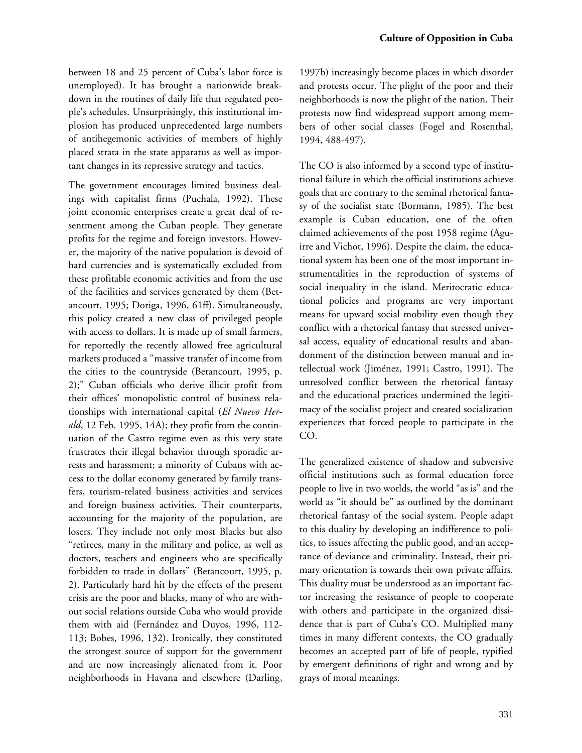between 18 and 25 percent of Cuba's labor force is unemployed). It has brought a nationwide breakdown in the routines of daily life that regulated people's schedules. Unsurprisingly, this institutional implosion has produced unprecedented large numbers of antihegemonic activities of members of highly placed strata in the state apparatus as well as important changes in its repressive strategy and tactics.

The government encourages limited business dealings with capitalist firms (Puchala, 1992). These joint economic enterprises create a great deal of resentment among the Cuban people. They generate profits for the regime and foreign investors. However, the majority of the native population is devoid of hard currencies and is systematically excluded from these profitable economic activities and from the use of the facilities and services generated by them (Betancourt, 1995; Doriga, 1996, 61ff). Simultaneously, this policy created a new class of privileged people with access to dollars. It is made up of small farmers, for reportedly the recently allowed free agricultural markets produced a "massive transfer of income from the cities to the countryside (Betancourt, 1995, p. 2);" Cuban officials who derive illicit profit from their offices' monopolistic control of business relationships with international capital (*El Nuevo Herald*, 12 Feb. 1995, 14A); they profit from the continuation of the Castro regime even as this very state frustrates their illegal behavior through sporadic arrests and harassment; a minority of Cubans with access to the dollar economy generated by family transfers, tourism-related business activities and services and foreign business activities. Their counterparts, accounting for the majority of the population, are losers. They include not only most Blacks but also "retirees, many in the military and police, as well as doctors, teachers and engineers who are specifically forbidden to trade in dollars" (Betancourt, 1995, p. 2). Particularly hard hit by the effects of the present crisis are the poor and blacks, many of who are without social relations outside Cuba who would provide them with aid (Fernández and Duyos, 1996, 112- 113; Bobes, 1996, 132). Ironically, they constituted the strongest source of support for the government and are now increasingly alienated from it. Poor neighborhoods in Havana and elsewhere (Darling,

1997b) increasingly become places in which disorder and protests occur. The plight of the poor and their neighborhoods is now the plight of the nation. Their protests now find widespread support among members of other social classes (Fogel and Rosenthal, 1994, 488-497).

The CO is also informed by a second type of institutional failure in which the official institutions achieve goals that are contrary to the seminal rhetorical fantasy of the socialist state (Bormann, 1985). The best example is Cuban education, one of the often claimed achievements of the post 1958 regime (Aguirre and Vichot, 1996). Despite the claim, the educational system has been one of the most important instrumentalities in the reproduction of systems of social inequality in the island. Meritocratic educational policies and programs are very important means for upward social mobility even though they conflict with a rhetorical fantasy that stressed universal access, equality of educational results and abandonment of the distinction between manual and intellectual work (Jiménez, 1991; Castro, 1991). The unresolved conflict between the rhetorical fantasy and the educational practices undermined the legitimacy of the socialist project and created socialization experiences that forced people to participate in the CO.

The generalized existence of shadow and subversive official institutions such as formal education force people to live in two worlds, the world "as is" and the world as "it should be" as outlined by the dominant rhetorical fantasy of the social system. People adapt to this duality by developing an indifference to politics, to issues affecting the public good, and an acceptance of deviance and criminality. Instead, their primary orientation is towards their own private affairs. This duality must be understood as an important factor increasing the resistance of people to cooperate with others and participate in the organized dissidence that is part of Cuba's CO. Multiplied many times in many different contexts, the CO gradually becomes an accepted part of life of people, typified by emergent definitions of right and wrong and by grays of moral meanings.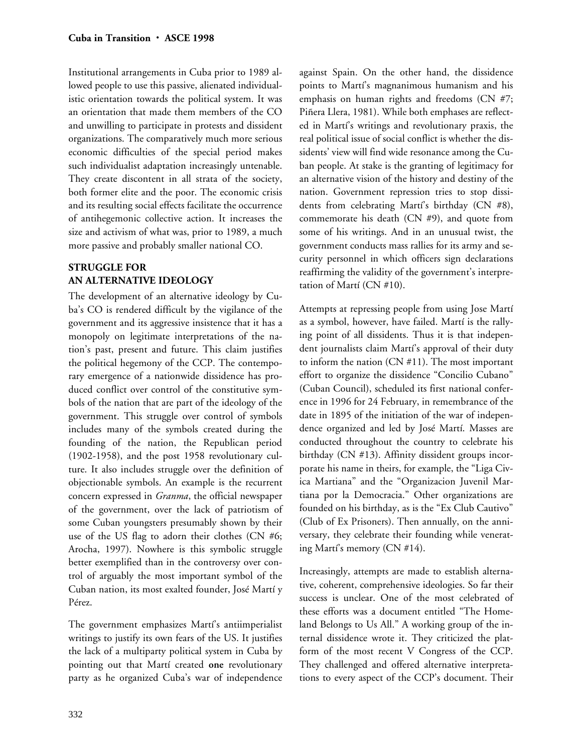Institutional arrangements in Cuba prior to 1989 allowed people to use this passive, alienated individualistic orientation towards the political system. It was an orientation that made them members of the CO and unwilling to participate in protests and dissident organizations. The comparatively much more serious economic difficulties of the special period makes such individualist adaptation increasingly untenable. They create discontent in all strata of the society, both former elite and the poor. The economic crisis and its resulting social effects facilitate the occurrence of antihegemonic collective action. It increases the size and activism of what was, prior to 1989, a much more passive and probably smaller national CO.

# **STRUGGLE FOR AN ALTERNATIVE IDEOLOGY**

The development of an alternative ideology by Cuba's CO is rendered difficult by the vigilance of the government and its aggressive insistence that it has a monopoly on legitimate interpretations of the nation's past, present and future. This claim justifies the political hegemony of the CCP. The contemporary emergence of a nationwide dissidence has produced conflict over control of the constitutive symbols of the nation that are part of the ideology of the government. This struggle over control of symbols includes many of the symbols created during the founding of the nation, the Republican period (1902-1958), and the post 1958 revolutionary culture. It also includes struggle over the definition of objectionable symbols. An example is the recurrent concern expressed in *Granma*, the official newspaper of the government, over the lack of patriotism of some Cuban youngsters presumably shown by their use of the US flag to adorn their clothes (CN #6; Arocha, 1997). Nowhere is this symbolic struggle better exemplified than in the controversy over control of arguably the most important symbol of the Cuban nation, its most exalted founder, José Martí y Pérez.

The government emphasizes Martí's antiimperialist writings to justify its own fears of the US. It justifies the lack of a multiparty political system in Cuba by pointing out that Martí created **one** revolutionary party as he organized Cuba's war of independence

against Spain. On the other hand, the dissidence points to Martí's magnanimous humanism and his emphasis on human rights and freedoms (CN #7; Piñera Llera, 1981). While both emphases are reflected in Martí's writings and revolutionary praxis, the real political issue of social conflict is whether the dissidents' view will find wide resonance among the Cuban people. At stake is the granting of legitimacy for an alternative vision of the history and destiny of the nation. Government repression tries to stop dissidents from celebrating Martí's birthday (CN #8), commemorate his death (CN #9), and quote from some of his writings. And in an unusual twist, the government conducts mass rallies for its army and security personnel in which officers sign declarations reaffirming the validity of the government's interpretation of Martí (CN #10).

Attempts at repressing people from using Jose Martí as a symbol, however, have failed. Martí is the rallying point of all dissidents. Thus it is that independent journalists claim Martí's approval of their duty to inform the nation (CN #11). The most important effort to organize the dissidence "Concilio Cubano" (Cuban Council), scheduled its first national conference in 1996 for 24 February, in remembrance of the date in 1895 of the initiation of the war of independence organized and led by José Martí. Masses are conducted throughout the country to celebrate his birthday (CN #13). Affinity dissident groups incorporate his name in theirs, for example, the "Liga Civica Martiana" and the "Organizacion Juvenil Martiana por la Democracia." Other organizations are founded on his birthday, as is the "Ex Club Cautivo" (Club of Ex Prisoners). Then annually, on the anniversary, they celebrate their founding while venerating Martí's memory (CN #14).

Increasingly, attempts are made to establish alternative, coherent, comprehensive ideologies. So far their success is unclear. One of the most celebrated of these efforts was a document entitled "The Homeland Belongs to Us All." A working group of the internal dissidence wrote it. They criticized the platform of the most recent V Congress of the CCP. They challenged and offered alternative interpretations to every aspect of the CCP's document. Their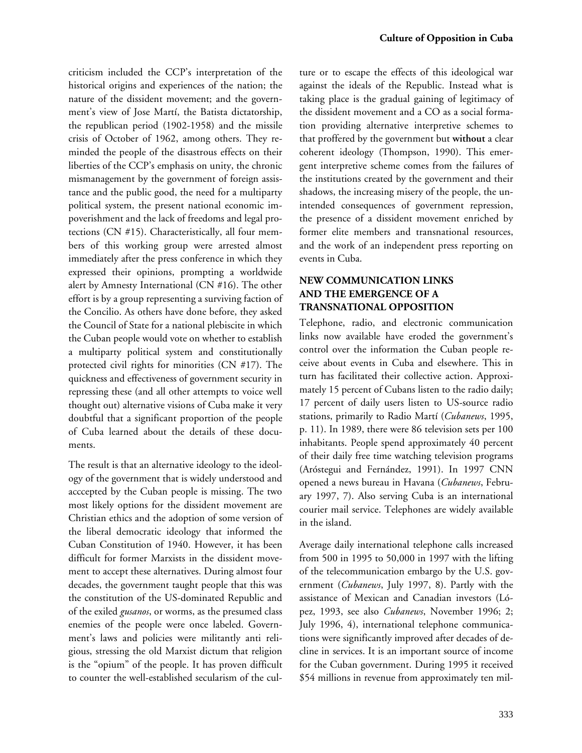criticism included the CCP's interpretation of the historical origins and experiences of the nation; the nature of the dissident movement; and the government's view of Jose Martí, the Batista dictatorship, the republican period (1902-1958) and the missile crisis of October of 1962, among others. They reminded the people of the disastrous effects on their liberties of the CCP's emphasis on unity, the chronic mismanagement by the government of foreign assistance and the public good, the need for a multiparty political system, the present national economic impoverishment and the lack of freedoms and legal protections (CN #15). Characteristically, all four members of this working group were arrested almost immediately after the press conference in which they expressed their opinions, prompting a worldwide alert by Amnesty International (CN #16). The other effort is by a group representing a surviving faction of the Concilio. As others have done before, they asked the Council of State for a national plebiscite in which the Cuban people would vote on whether to establish a multiparty political system and constitutionally protected civil rights for minorities (CN #17). The quickness and effectiveness of government security in repressing these (and all other attempts to voice well thought out) alternative visions of Cuba make it very doubtful that a significant proportion of the people of Cuba learned about the details of these documents.

The result is that an alternative ideology to the ideology of the government that is widely understood and acccepted by the Cuban people is missing. The two most likely options for the dissident movement are Christian ethics and the adoption of some version of the liberal democratic ideology that informed the Cuban Constitution of 1940. However, it has been difficult for former Marxists in the dissident movement to accept these alternatives. During almost four decades, the government taught people that this was the constitution of the US-dominated Republic and of the exiled *gusanos*, or worms, as the presumed class enemies of the people were once labeled. Government's laws and policies were militantly anti religious, stressing the old Marxist dictum that religion is the "opium" of the people. It has proven difficult to counter the well-established secularism of the culture or to escape the effects of this ideological war against the ideals of the Republic. Instead what is taking place is the gradual gaining of legitimacy of the dissident movement and a CO as a social formation providing alternative interpretive schemes to that proffered by the government but **without** a clear coherent ideology (Thompson, 1990). This emergent interpretive scheme comes from the failures of the institutions created by the government and their shadows, the increasing misery of the people, the unintended consequences of government repression, the presence of a dissident movement enriched by former elite members and transnational resources, and the work of an independent press reporting on events in Cuba.

### **NEW COMMUNICATION LINKS AND THE EMERGENCE OF A TRANSNATIONAL OPPOSITION**

Telephone, radio, and electronic communication links now available have eroded the government's control over the information the Cuban people receive about events in Cuba and elsewhere. This in turn has facilitated their collective action. Approximately 15 percent of Cubans listen to the radio daily; 17 percent of daily users listen to US-source radio stations, primarily to Radio Martí (*Cubanews*, 1995, p. 11). In 1989, there were 86 television sets per 100 inhabitants. People spend approximately 40 percent of their daily free time watching television programs (Aróstegui and Fernández, 1991). In 1997 CNN opened a news bureau in Havana (*Cubanews*, February 1997, 7). Also serving Cuba is an international courier mail service. Telephones are widely available in the island.

Average daily international telephone calls increased from 500 in 1995 to 50,000 in 1997 with the lifting of the telecommunication embargo by the U.S. government (*Cubanews*, July 1997, 8). Partly with the assistance of Mexican and Canadian investors (López, 1993, see also *Cubanews*, November 1996; 2; July 1996, 4), international telephone communications were significantly improved after decades of decline in services. It is an important source of income for the Cuban government. During 1995 it received \$54 millions in revenue from approximately ten mil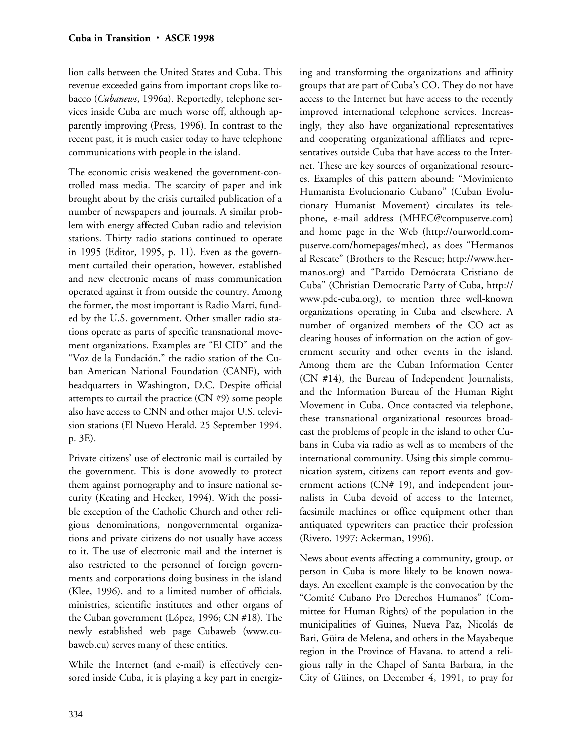lion calls between the United States and Cuba. This revenue exceeded gains from important crops like tobacco (*Cubanews*, 1996a). Reportedly, telephone services inside Cuba are much worse off, although apparently improving (Press, 1996). In contrast to the recent past, it is much easier today to have telephone communications with people in the island.

The economic crisis weakened the government-controlled mass media. The scarcity of paper and ink brought about by the crisis curtailed publication of a number of newspapers and journals. A similar problem with energy affected Cuban radio and television stations. Thirty radio stations continued to operate in 1995 (Editor, 1995, p. 11). Even as the government curtailed their operation, however, established and new electronic means of mass communication operated against it from outside the country. Among the former, the most important is Radio Martí, funded by the U.S. government. Other smaller radio stations operate as parts of specific transnational movement organizations. Examples are "El CID" and the "Voz de la Fundación," the radio station of the Cuban American National Foundation (CANF), with headquarters in Washington, D.C. Despite official attempts to curtail the practice (CN #9) some people also have access to CNN and other major U.S. television stations (El Nuevo Herald, 25 September 1994, p. 3E).

Private citizens' use of electronic mail is curtailed by the government. This is done avowedly to protect them against pornography and to insure national security (Keating and Hecker, 1994). With the possible exception of the Catholic Church and other religious denominations, nongovernmental organizations and private citizens do not usually have access to it. The use of electronic mail and the internet is also restricted to the personnel of foreign governments and corporations doing business in the island (Klee, 1996), and to a limited number of officials, ministries, scientific institutes and other organs of the Cuban government (López, 1996; CN #18). The newly established web page Cubaweb (www.cubaweb.cu) serves many of these entities.

While the Internet (and e-mail) is effectively censored inside Cuba, it is playing a key part in energizing and transforming the organizations and affinity groups that are part of Cuba's CO. They do not have access to the Internet but have access to the recently improved international telephone services. Increasingly, they also have organizational representatives and cooperating organizational affiliates and representatives outside Cuba that have access to the Internet. These are key sources of organizational resources. Examples of this pattern abound: "Movimiento Humanista Evolucionario Cubano" (Cuban Evolutionary Humanist Movement) circulates its telephone, e-mail address (MHEC@compuserve.com) and home page in the Web (http://ourworld.compuserve.com/homepages/mhec), as does "Hermanos al Rescate" (Brothers to the Rescue; http://www.hermanos.org) and "Partido Demócrata Cristiano de Cuba" (Christian Democratic Party of Cuba, http:// www.pdc-cuba.org), to mention three well-known organizations operating in Cuba and elsewhere. A number of organized members of the CO act as clearing houses of information on the action of government security and other events in the island. Among them are the Cuban Information Center (CN #14), the Bureau of Independent Journalists, and the Information Bureau of the Human Right Movement in Cuba. Once contacted via telephone, these transnational organizational resources broadcast the problems of people in the island to other Cubans in Cuba via radio as well as to members of the international community. Using this simple communication system, citizens can report events and government actions (CN# 19), and independent journalists in Cuba devoid of access to the Internet, facsimile machines or office equipment other than antiquated typewriters can practice their profession (Rivero, 1997; Ackerman, 1996).

News about events affecting a community, group, or person in Cuba is more likely to be known nowadays. An excellent example is the convocation by the "Comité Cubano Pro Derechos Humanos" (Committee for Human Rights) of the population in the municipalities of Guines, Nueva Paz, Nicolás de Bari, Güira de Melena, and others in the Mayabeque region in the Province of Havana, to attend a religious rally in the Chapel of Santa Barbara, in the City of Güines, on December 4, 1991, to pray for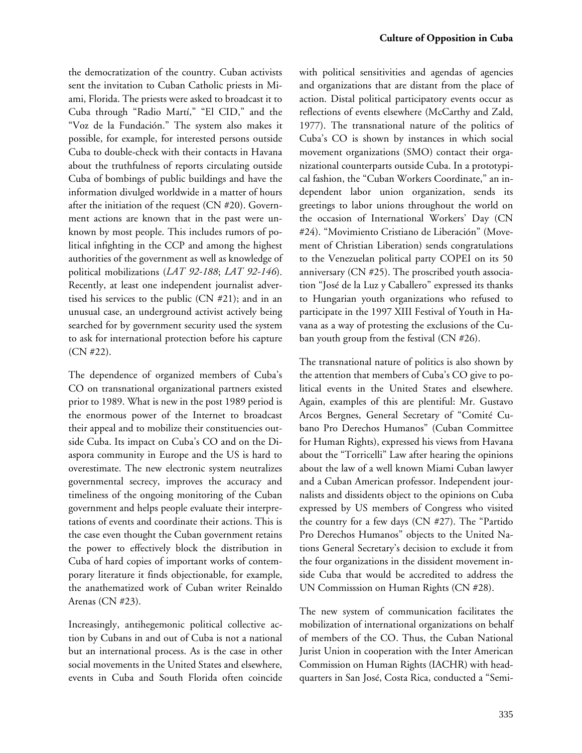the democratization of the country. Cuban activists sent the invitation to Cuban Catholic priests in Miami, Florida. The priests were asked to broadcast it to Cuba through "Radio Martí," "El CID," and the "Voz de la Fundación." The system also makes it possible, for example, for interested persons outside Cuba to double-check with their contacts in Havana about the truthfulness of reports circulating outside Cuba of bombings of public buildings and have the information divulged worldwide in a matter of hours after the initiation of the request (CN #20). Government actions are known that in the past were unknown by most people. This includes rumors of political infighting in the CCP and among the highest authorities of the government as well as knowledge of political mobilizations (*LAT 92-188*; *LAT 92-146*). Recently, at least one independent journalist advertised his services to the public (CN #21); and in an unusual case, an underground activist actively being searched for by government security used the system to ask for international protection before his capture (CN #22).

The dependence of organized members of Cuba's CO on transnational organizational partners existed prior to 1989. What is new in the post 1989 period is the enormous power of the Internet to broadcast their appeal and to mobilize their constituencies outside Cuba. Its impact on Cuba's CO and on the Diaspora community in Europe and the US is hard to overestimate. The new electronic system neutralizes governmental secrecy, improves the accuracy and timeliness of the ongoing monitoring of the Cuban government and helps people evaluate their interpretations of events and coordinate their actions. This is the case even thought the Cuban government retains the power to effectively block the distribution in Cuba of hard copies of important works of contemporary literature it finds objectionable, for example, the anathematized work of Cuban writer Reinaldo Arenas (CN #23).

Increasingly, antihegemonic political collective action by Cubans in and out of Cuba is not a national but an international process. As is the case in other social movements in the United States and elsewhere, events in Cuba and South Florida often coincide with political sensitivities and agendas of agencies and organizations that are distant from the place of action. Distal political participatory events occur as reflections of events elsewhere (McCarthy and Zald, 1977). The transnational nature of the politics of Cuba's CO is shown by instances in which social movement organizations (SMO) contact their organizational counterparts outside Cuba. In a prototypical fashion, the "Cuban Workers Coordinate," an independent labor union organization, sends its greetings to labor unions throughout the world on the occasion of International Workers' Day (CN #24). "Movimiento Cristiano de Liberación" (Movement of Christian Liberation) sends congratulations to the Venezuelan political party COPEI on its 50 anniversary (CN #25). The proscribed youth association "José de la Luz y Caballero" expressed its thanks to Hungarian youth organizations who refused to participate in the 1997 XIII Festival of Youth in Havana as a way of protesting the exclusions of the Cuban youth group from the festival (CN #26).

The transnational nature of politics is also shown by the attention that members of Cuba's CO give to political events in the United States and elsewhere. Again, examples of this are plentiful: Mr. Gustavo Arcos Bergnes, General Secretary of "Comité Cubano Pro Derechos Humanos" (Cuban Committee for Human Rights), expressed his views from Havana about the "Torricelli" Law after hearing the opinions about the law of a well known Miami Cuban lawyer and a Cuban American professor. Independent journalists and dissidents object to the opinions on Cuba expressed by US members of Congress who visited the country for a few days (CN #27). The "Partido Pro Derechos Humanos" objects to the United Nations General Secretary's decision to exclude it from the four organizations in the dissident movement inside Cuba that would be accredited to address the UN Commisssion on Human Rights (CN #28).

The new system of communication facilitates the mobilization of international organizations on behalf of members of the CO. Thus, the Cuban National Jurist Union in cooperation with the Inter American Commission on Human Rights (IACHR) with headquarters in San José, Costa Rica, conducted a "Semi-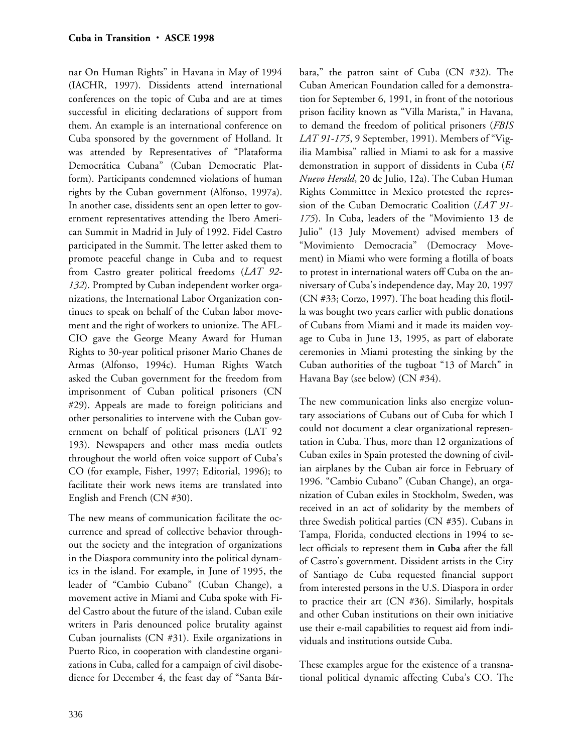nar On Human Rights" in Havana in May of 1994 (IACHR, 1997). Dissidents attend international conferences on the topic of Cuba and are at times successful in eliciting declarations of support from them. An example is an international conference on Cuba sponsored by the government of Holland. It was attended by Representatives of "Plataforma Democrática Cubana" (Cuban Democratic Platform). Participants condemned violations of human rights by the Cuban government (Alfonso, 1997a). In another case, dissidents sent an open letter to government representatives attending the Ibero American Summit in Madrid in July of 1992. Fidel Castro participated in the Summit. The letter asked them to promote peaceful change in Cuba and to request from Castro greater political freedoms (*LAT 92- 132*). Prompted by Cuban independent worker organizations, the International Labor Organization continues to speak on behalf of the Cuban labor movement and the right of workers to unionize. The AFL-CIO gave the George Meany Award for Human Rights to 30-year political prisoner Mario Chanes de Armas (Alfonso, 1994c). Human Rights Watch asked the Cuban government for the freedom from imprisonment of Cuban political prisoners (CN #29). Appeals are made to foreign politicians and other personalities to intervene with the Cuban government on behalf of political prisoners (LAT 92 193). Newspapers and other mass media outlets throughout the world often voice support of Cuba's CO (for example, Fisher, 1997; Editorial, 1996); to facilitate their work news items are translated into English and French (CN #30).

The new means of communication facilitate the occurrence and spread of collective behavior throughout the society and the integration of organizations in the Diaspora community into the political dynamics in the island. For example, in June of 1995, the leader of "Cambio Cubano" (Cuban Change), a movement active in Miami and Cuba spoke with Fidel Castro about the future of the island. Cuban exile writers in Paris denounced police brutality against Cuban journalists (CN #31). Exile organizations in Puerto Rico, in cooperation with clandestine organizations in Cuba, called for a campaign of civil disobedience for December 4, the feast day of "Santa Bárbara," the patron saint of Cuba (CN #32). The Cuban American Foundation called for a demonstration for September 6, 1991, in front of the notorious prison facility known as "Villa Marista," in Havana, to demand the freedom of political prisoners (*FBIS LAT 91-175*, 9 September, 1991). Members of "Vigilia Mambisa" rallied in Miami to ask for a massive demonstration in support of dissidents in Cuba (*El Nuevo Herald*, 20 de Julio, 12a). The Cuban Human Rights Committee in Mexico protested the repression of the Cuban Democratic Coalition (*LAT 91- 175*). In Cuba, leaders of the "Movimiento 13 de Julio" (13 July Movement) advised members of "Movimiento Democracia" (Democracy Movement) in Miami who were forming a flotilla of boats to protest in international waters off Cuba on the anniversary of Cuba's independence day, May 20, 1997 (CN #33; Corzo, 1997). The boat heading this flotilla was bought two years earlier with public donations of Cubans from Miami and it made its maiden voyage to Cuba in June 13, 1995, as part of elaborate ceremonies in Miami protesting the sinking by the Cuban authorities of the tugboat "13 of March" in Havana Bay (see below) (CN #34).

The new communication links also energize voluntary associations of Cubans out of Cuba for which I could not document a clear organizational representation in Cuba. Thus, more than 12 organizations of Cuban exiles in Spain protested the downing of civilian airplanes by the Cuban air force in February of 1996. "Cambio Cubano" (Cuban Change), an organization of Cuban exiles in Stockholm, Sweden, was received in an act of solidarity by the members of three Swedish political parties (CN #35). Cubans in Tampa, Florida, conducted elections in 1994 to select officials to represent them **in Cuba** after the fall of Castro's government. Dissident artists in the City of Santiago de Cuba requested financial support from interested persons in the U.S. Diaspora in order to practice their art (CN #36). Similarly, hospitals and other Cuban institutions on their own initiative use their e-mail capabilities to request aid from individuals and institutions outside Cuba.

These examples argue for the existence of a transnational political dynamic affecting Cuba's CO. The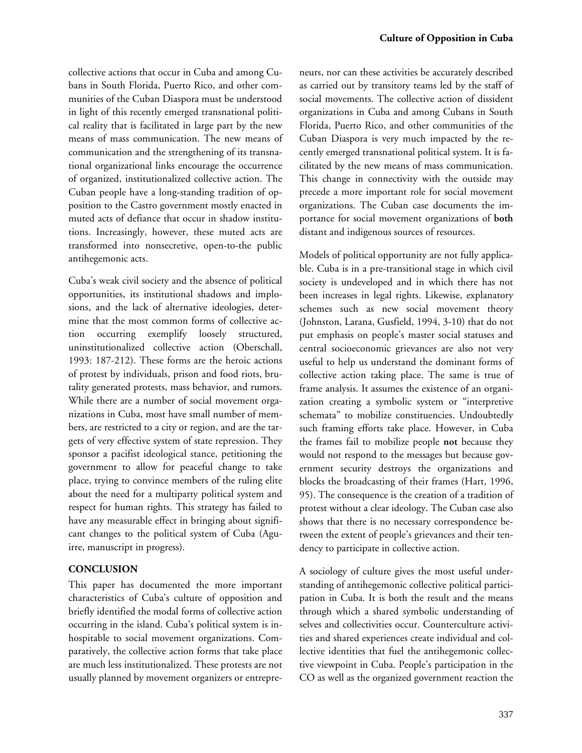collective actions that occur in Cuba and among Cubans in South Florida, Puerto Rico, and other communities of the Cuban Diaspora must be understood in light of this recently emerged transnational political reality that is facilitated in large part by the new means of mass communication. The new means of communication and the strengthening of its transnational organizational links encourage the occurrence of organized, institutionalized collective action. The Cuban people have a long-standing tradition of opposition to the Castro government mostly enacted in muted acts of defiance that occur in shadow institutions. Increasingly, however, these muted acts are transformed into nonsecretive, open-to-the public antihegemonic acts.

Cuba's weak civil society and the absence of political opportunities, its institutional shadows and implosions, and the lack of alternative ideologies, determine that the most common forms of collective action occurring exemplify loosely structured, uninstitutionalized collective action (Oberschall, 1993: 187-212). These forms are the heroic actions of protest by individuals, prison and food riots, brutality generated protests, mass behavior, and rumors. While there are a number of social movement organizations in Cuba, most have small number of members, are restricted to a city or region, and are the targets of very effective system of state repression. They sponsor a pacifist ideological stance, petitioning the government to allow for peaceful change to take place, trying to convince members of the ruling elite about the need for a multiparty political system and respect for human rights. This strategy has failed to have any measurable effect in bringing about significant changes to the political system of Cuba (Aguirre, manuscript in progress).

### **CONCLUSION**

This paper has documented the more important characteristics of Cuba's culture of opposition and briefly identified the modal forms of collective action occurring in the island. Cuba's political system is inhospitable to social movement organizations. Comparatively, the collective action forms that take place are much less institutionalized. These protests are not usually planned by movement organizers or entrepreneurs, nor can these activities be accurately described as carried out by transitory teams led by the staff of social movements. The collective action of dissident organizations in Cuba and among Cubans in South Florida, Puerto Rico, and other communities of the Cuban Diaspora is very much impacted by the recently emerged transnational political system. It is facilitated by the new means of mass communication. This change in connectivity with the outside may precede a more important role for social movement organizations. The Cuban case documents the importance for social movement organizations of **both** distant and indigenous sources of resources.

Models of political opportunity are not fully applicable. Cuba is in a pre-transitional stage in which civil society is undeveloped and in which there has not been increases in legal rights. Likewise, explanatory schemes such as new social movement theory (Johnston, Larana, Gusfield, 1994, 3-10) that do not put emphasis on people's master social statuses and central socioeconomic grievances are also not very useful to help us understand the dominant forms of collective action taking place. The same is true of frame analysis. It assumes the existence of an organization creating a symbolic system or "interpretive schemata" to mobilize constituencies. Undoubtedly such framing efforts take place. However, in Cuba the frames fail to mobilize people **not** because they would not respond to the messages but because government security destroys the organizations and blocks the broadcasting of their frames (Hart, 1996, 95). The consequence is the creation of a tradition of protest without a clear ideology. The Cuban case also shows that there is no necessary correspondence between the extent of people's grievances and their tendency to participate in collective action.

A sociology of culture gives the most useful understanding of antihegemonic collective political participation in Cuba. It is both the result and the means through which a shared symbolic understanding of selves and collectivities occur. Counterculture activities and shared experiences create individual and collective identities that fuel the antihegemonic collective viewpoint in Cuba. People's participation in the CO as well as the organized government reaction the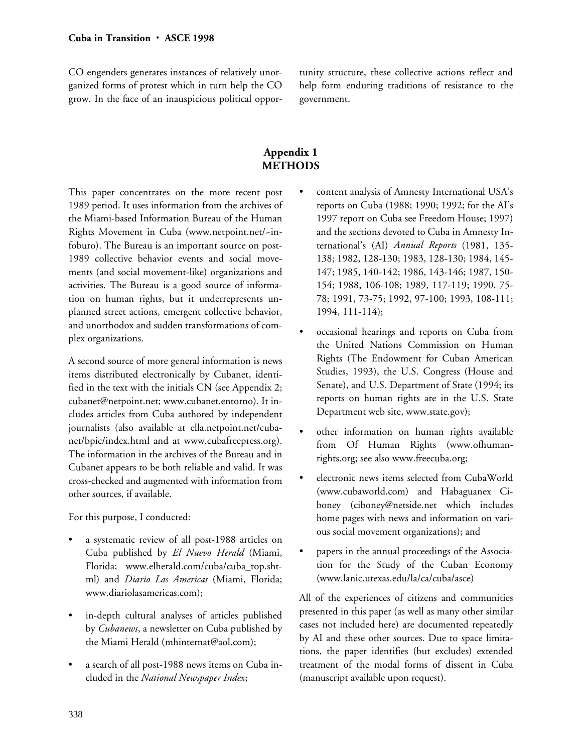CO engenders generates instances of relatively unorganized forms of protest which in turn help the CO grow. In the face of an inauspicious political oppor-

tunity structure, these collective actions reflect and help form enduring traditions of resistance to the government.

# **Appendix 1 METHODS**

This paper concentrates on the more recent post 1989 period. It uses information from the archives of the Miami-based Information Bureau of the Human Rights Movement in Cuba (www.netpoint.net/~infoburo). The Bureau is an important source on post-1989 collective behavior events and social movements (and social movement-like) organizations and activities. The Bureau is a good source of information on human rights, but it underrepresents unplanned street actions, emergent collective behavior, and unorthodox and sudden transformations of complex organizations.

A second source of more general information is news items distributed electronically by Cubanet, identified in the text with the initials CN (see Appendix 2; cubanet@netpoint.net; www.cubanet.entorno). It includes articles from Cuba authored by independent journalists (also available at ella.netpoint.net/cubanet/bpic/index.html and at www.cubafreepress.org). The information in the archives of the Bureau and in Cubanet appears to be both reliable and valid. It was cross-checked and augmented with information from other sources, if available.

For this purpose, I conducted:

- a systematic review of all post-1988 articles on Cuba published by *El Nuevo Herald* (Miami, Florida; www.elherald.com/cuba/cuba\_top.shtml) and *Diario Las Americas* (Miami, Florida; www.diariolasamericas.com);
- in-depth cultural analyses of articles published by *Cubanews*, a newsletter on Cuba published by the Miami Herald (mhinternat@aol.com);
- a search of all post-1988 news items on Cuba included in the *National Newspaper Index*;
- content analysis of Amnesty International USA's reports on Cuba (1988; 1990; 1992; for the AI's 1997 report on Cuba see Freedom House; 1997) and the sections devoted to Cuba in Amnesty International's (AI) *Annual Reports* (1981, 135- 138; 1982, 128-130; 1983, 128-130; 1984, 145- 147; 1985, 140-142; 1986, 143-146; 1987, 150- 154; 1988, 106-108; 1989, 117-119; 1990, 75- 78; 1991, 73-75; 1992, 97-100; 1993, 108-111; 1994, 111-114);
- occasional hearings and reports on Cuba from the United Nations Commission on Human Rights (The Endowment for Cuban American Studies, 1993), the U.S. Congress (House and Senate), and U.S. Department of State (1994; its reports on human rights are in the U.S. State Department web site, www.state.gov);
- other information on human rights available from Of Human Rights (www.ofhumanrights.org; see also www.freecuba.org;
- electronic news items selected from CubaWorld (www.cubaworld.com) and Habaguanex Ciboney (ciboney@netside.net which includes home pages with news and information on various social movement organizations); and
- papers in the annual proceedings of the Association for the Study of the Cuban Economy (www.lanic.utexas.edu/la/ca/cuba/asce)

All of the experiences of citizens and communities presented in this paper (as well as many other similar cases not included here) are documented repeatedly by AI and these other sources. Due to space limitations, the paper identifies (but excludes) extended treatment of the modal forms of dissent in Cuba (manuscript available upon request).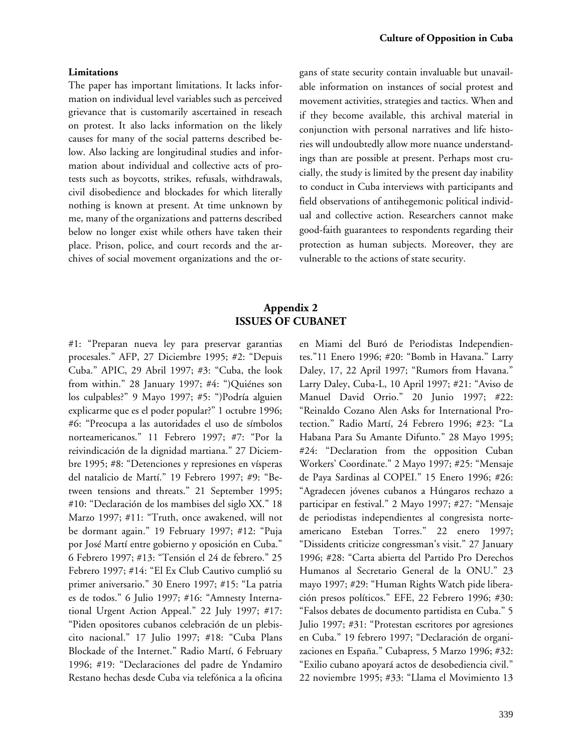#### **Limitations**

The paper has important limitations. It lacks information on individual level variables such as perceived grievance that is customarily ascertained in reseach on protest. It also lacks information on the likely causes for many of the social patterns described below. Also lacking are longitudinal studies and information about individual and collective acts of protests such as boycotts, strikes, refusals, withdrawals, civil disobedience and blockades for which literally nothing is known at present. At time unknown by me, many of the organizations and patterns described below no longer exist while others have taken their place. Prison, police, and court records and the archives of social movement organizations and the organs of state security contain invaluable but unavailable information on instances of social protest and movement activities, strategies and tactics. When and if they become available, this archival material in conjunction with personal narratives and life histories will undoubtedly allow more nuance understandings than are possible at present. Perhaps most crucially, the study is limited by the present day inability to conduct in Cuba interviews with participants and field observations of antihegemonic political individual and collective action. Researchers cannot make good-faith guarantees to respondents regarding their protection as human subjects. Moreover, they are vulnerable to the actions of state security.

# **Appendix 2 ISSUES OF CUBANET**

#1: "Preparan nueva ley para preservar garantias procesales." AFP, 27 Diciembre 1995; #2: "Depuis Cuba." APIC, 29 Abril 1997; #3: "Cuba, the look from within." 28 January 1997; #4: ")Quiénes son los culpables?" 9 Mayo 1997; #5: ")Podría alguien explicarme que es el poder popular?" 1 octubre 1996; #6: "Preocupa a las autoridades el uso de símbolos norteamericanos." 11 Febrero 1997; #7: "Por la reivindicación de la dignidad martiana." 27 Diciembre 1995; #8: "Detenciones y represiones en vísperas del natalicio de Martí." 19 Febrero 1997; #9: "Between tensions and threats." 21 September 1995; #10: "Declaración de los mambises del siglo XX." 18 Marzo 1997; #11: "Truth, once awakened, will not be dormant again." 19 February 1997; #12: "Puja por José Martí entre gobierno y oposición en Cuba." 6 Febrero 1997; #13: "Tensión el 24 de febrero." 25 Febrero 1997; #14: "El Ex Club Cautivo cumplió su primer aniversario." 30 Enero 1997; #15: "La patria es de todos." 6 Julio 1997; #16: "Amnesty International Urgent Action Appeal." 22 July 1997; #17: "Piden opositores cubanos celebración de un plebiscito nacional." 17 Julio 1997; #18: "Cuba Plans Blockade of the Internet." Radio Martí, 6 February 1996; #19: "Declaraciones del padre de Yndamiro Restano hechas desde Cuba via telefónica a la oficina

en Miami del Buró de Periodistas Independientes."11 Enero 1996; #20: "Bomb in Havana." Larry Daley, 17, 22 April 1997; "Rumors from Havana." Larry Daley, Cuba-L, 10 April 1997; #21: "Aviso de Manuel David Orrio." 20 Junio 1997; #22: "Reinaldo Cozano Alen Asks for International Protection." Radio Martí, 24 Febrero 1996; #23: "La Habana Para Su Amante Difunto." 28 Mayo 1995; #24: "Declaration from the opposition Cuban Workers' Coordinate." 2 Mayo 1997; #25: "Mensaje de Paya Sardinas al COPEI." 15 Enero 1996; #26: "Agradecen jóvenes cubanos a Húngaros rechazo a participar en festival." 2 Mayo 1997; #27: "Mensaje de periodistas independientes al congresista norteamericano Esteban Torres." 22 enero 1997; "Dissidents criticize congressman's visit." 27 January 1996; #28: "Carta abierta del Partido Pro Derechos Humanos al Secretario General de la ONU." 23 mayo 1997; #29: "Human Rights Watch pide liberación presos políticos." EFE, 22 Febrero 1996; #30: "Falsos debates de documento partidista en Cuba." 5 Julio 1997; #31: "Protestan escritores por agresiones en Cuba." 19 febrero 1997; "Declaración de organizaciones en España." Cubapress, 5 Marzo 1996; #32: "Exilio cubano apoyará actos de desobediencia civil." 22 noviembre 1995; #33: "Llama el Movimiento 13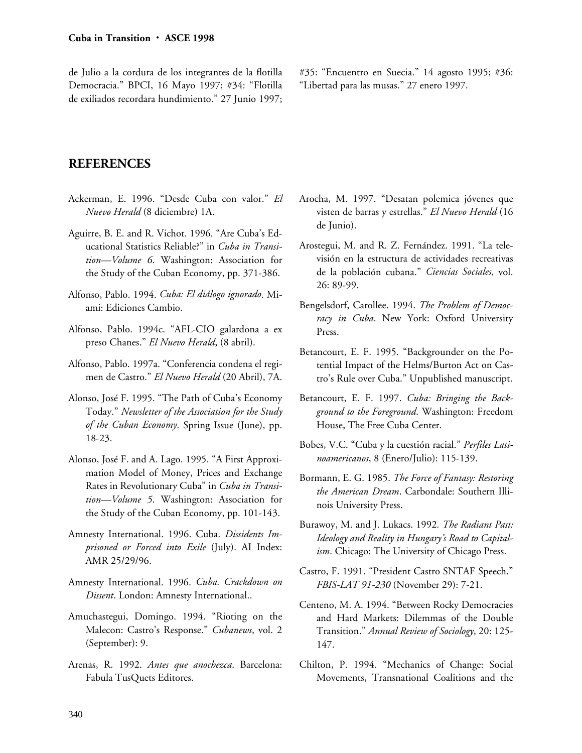de Julio a la cordura de los integrantes de la flotilla Democracia." BPCI, 16 Mayo 1997; #34: "Flotilla de exiliados recordara hundimiento." 27 Junio 1997;

#35: "Encuentro en Suecia." 14 agosto 1995; #36: "Libertad para las musas." 27 enero 1997.

# **REFERENCES**

- Ackerman, E. 1996. "Desde Cuba con valor." *El Nuevo Herald* (8 diciembre) 1A.
- Aguirre, B. E. and R. Vichot. 1996. "Are Cuba's Educational Statistics Reliable?" in *Cuba in Transition—Volume 6*. Washington: Association for the Study of the Cuban Economy, pp. 371-386.
- Alfonso, Pablo. 1994. *Cuba: El diálogo ignorado*. Miami: Ediciones Cambio.
- Alfonso, Pablo. 1994c. "AFL-CIO galardona a ex preso Chanes." *El Nuevo Herald*, (8 abril).
- Alfonso, Pablo. 1997a. "Conferencia condena el regimen de Castro." *El Nuevo Herald* (20 Abril), 7A.
- Alonso, José F. 1995. "The Path of Cuba's Economy Today." *Newsletter of the Association for the Study of the Cuban Economy*. Spring Issue (June), pp. 18-23.
- Alonso, José F. and A. Lago. 1995. "A First Approximation Model of Money, Prices and Exchange Rates in Revolutionary Cuba" in *Cuba in Transition—Volume 5*. Washington: Association for the Study of the Cuban Economy, pp. 101-143.
- Amnesty International. 1996. Cuba. *Dissidents Imprisoned or Forced into Exile* (July). AI Index: AMR 25/29/96.
- Amnesty International. 1996. *Cuba. Crackdown on Dissent*. London: Amnesty International..
- Amuchastegui, Domingo. 1994. "Rioting on the Malecon: Castro's Response." *Cubanews*, vol. 2 (September): 9.
- Arenas, R. 1992. *Antes que anochezca*. Barcelona: Fabula TusQuets Editores.
- Arocha, M. 1997. "Desatan polemica jóvenes que visten de barras y estrellas." *El Nuevo Herald* (16 de Junio).
- Arostegui, M. and R. Z. Fernández. 1991. "La televisión en la estructura de actividades recreativas de la población cubana." *Ciencias Sociales*, vol. 26: 89-99.
- Bengelsdorf, Carollee. 1994. *The Problem of Democracy in Cuba*. New York: Oxford University Press.
- Betancourt, E. F. 1995. "Backgrounder on the Potential Impact of the Helms/Burton Act on Castro's Rule over Cuba." Unpublished manuscript.
- Betancourt, E. F. 1997. *Cuba: Bringing the Background to the Foreground*. Washington: Freedom House, The Free Cuba Center.
- Bobes, V.C. "Cuba y la cuestión racial." *Perfiles Latinoamericanos*, 8 (Enero/Julio): 115-139.
- Bormann, E. G. 1985. *The Force of Fantasy: Restoring the American Dream*. Carbondale: Southern Illinois University Press.
- Burawoy, M. and J. Lukacs. 1992*. The Radiant Past: Ideology and Reality in Hungary's Road to Capitalism*. Chicago: The University of Chicago Press.
- Castro, F. 1991. "President Castro SNTAF Speech." *FBIS-LAT 91-230* (November 29): 7-21.
- Centeno, M. A. 1994. "Between Rocky Democracies and Hard Markets: Dilemmas of the Double Transition." *Annual Review of Sociology*, 20: 125- 147.
- Chilton, P. 1994. "Mechanics of Change: Social Movements, Transnational Coalitions and the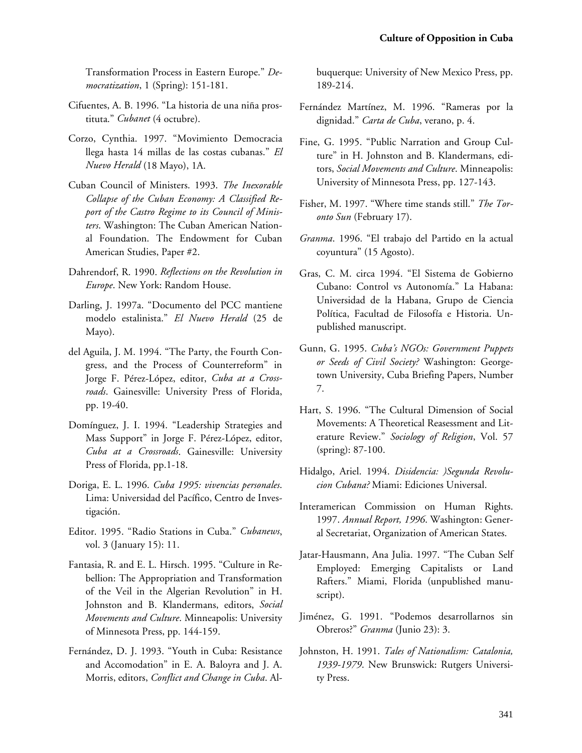Transformation Process in Eastern Europe." *Democratization*, 1 (Spring): 151-181.

- Cifuentes, A. B. 1996. "La historia de una niña prostituta." *Cubanet* (4 octubre).
- Corzo, Cynthia. 1997. "Movimiento Democracia llega hasta 14 millas de las costas cubanas." *El Nuevo Herald* (18 Mayo), 1A.
- Cuban Council of Ministers. 1993. *The Inexorable Collapse of the Cuban Economy: A Classified Report of the Castro Regime to its Council of Ministers*. Washington: The Cuban American National Foundation. The Endowment for Cuban American Studies, Paper #2.
- Dahrendorf, R. 1990. *Reflections on the Revolution in Europe*. New York: Random House.
- Darling, J. 1997a. "Documento del PCC mantiene modelo estalinista." *El Nuevo Herald* (25 de Mayo).
- del Aguila, J. M. 1994. "The Party, the Fourth Congress, and the Process of Counterreform" in Jorge F. Pérez-López, editor, *Cuba at a Crossroads*. Gainesville: University Press of Florida, pp. 19-40.
- Domínguez, J. I. 1994. "Leadership Strategies and Mass Support" in Jorge F. Pérez-López, editor, *Cuba at a Crossroads*. Gainesville: University Press of Florida, pp.1-18.
- Doriga, E. L. 1996. *Cuba 1995: vivencias personales*. Lima: Universidad del Pacífico, Centro de Investigación.
- Editor. 1995. "Radio Stations in Cuba." *Cubanews*, vol. 3 (January 15): 11.
- Fantasia, R. and E. L. Hirsch. 1995. "Culture in Rebellion: The Appropriation and Transformation of the Veil in the Algerian Revolution" in H. Johnston and B. Klandermans, editors, *Social Movements and Culture*. Minneapolis: University of Minnesota Press, pp. 144-159.
- Fernández, D. J. 1993. "Youth in Cuba: Resistance and Accomodation" in E. A. Baloyra and J. A. Morris, editors, *Conflict and Change in Cuba*. Al-

buquerque: University of New Mexico Press, pp. 189-214.

- Fernández Martínez, M. 1996. "Rameras por la dignidad." *Carta de Cuba*, verano, p. 4.
- Fine, G. 1995. "Public Narration and Group Culture" in H. Johnston and B. Klandermans, editors, *Social Movements and Culture*. Minneapolis: University of Minnesota Press, pp. 127-143.
- Fisher, M. 1997. "Where time stands still." *The Toronto Sun* (February 17).
- *Granma*. 1996. "El trabajo del Partido en la actual coyuntura" (15 Agosto).
- Gras, C. M. circa 1994. "El Sistema de Gobierno Cubano: Control vs Autonomía." La Habana: Universidad de la Habana, Grupo de Ciencia Política, Facultad de Filosofía e Historia. Unpublished manuscript.
- Gunn, G. 1995. *Cuba's NGOs: Government Puppets or Seeds of Civil Society?* Washington: Georgetown University, Cuba Briefing Papers, Number 7.
- Hart, S. 1996. "The Cultural Dimension of Social Movements: A Theoretical Reasessment and Literature Review." *Sociology of Religion*, Vol. 57 (spring): 87-100.
- Hidalgo, Ariel. 1994. *Disidencia: )Segunda Revolucion Cubana?* Miami: Ediciones Universal.
- Interamerican Commission on Human Rights. 1997. *Annual Report, 1996*. Washington: General Secretariat, Organization of American States.
- Jatar-Hausmann, Ana Julia. 1997. "The Cuban Self Employed: Emerging Capitalists or Land Rafters." Miami, Florida (unpublished manuscript).
- Jiménez, G. 1991. "Podemos desarrollarnos sin Obreros?" *Granma* (Junio 23): 3.
- Johnston, H. 1991. *Tales of Nationalism: Catalonia, 1939-1979*. New Brunswick: Rutgers University Press.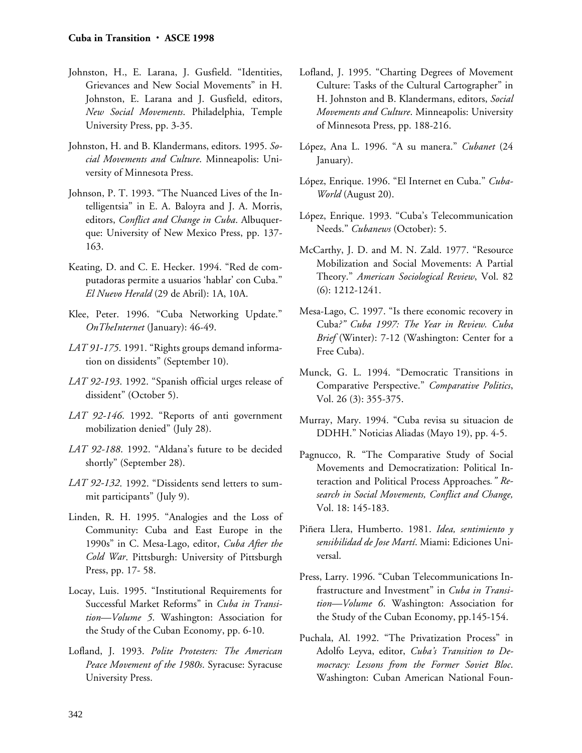- Johnston, H., E. Larana, J. Gusfield. "Identities, Grievances and New Social Movements" in H. Johnston, E. Larana and J. Gusfield, editors, *New Social Movements*. Philadelphia, Temple University Press, pp. 3-35.
- Johnston, H. and B. Klandermans, editors. 1995. *Social Movements and Culture*. Minneapolis: University of Minnesota Press.
- Johnson, P. T. 1993. "The Nuanced Lives of the Intelligentsia" in E. A. Baloyra and J. A. Morris, editors, *Conflict and Change in Cuba*. Albuquerque: University of New Mexico Press, pp. 137- 163.
- Keating, D. and C. E. Hecker. 1994. "Red de computadoras permite a usuarios 'hablar' con Cuba." *El Nuevo Herald* (29 de Abril): 1A, 10A.
- Klee, Peter. 1996. "Cuba Networking Update." *OnTheInternet* (January): 46-49.
- *LAT 91-175*. 1991. "Rights groups demand information on dissidents" (September 10).
- *LAT 92-193*. 1992. "Spanish official urges release of dissident" (October 5).
- *LAT 92-146*. 1992. "Reports of anti government mobilization denied" (July 28).
- *LAT 92-188*. 1992. "Aldana's future to be decided shortly" (September 28).
- *LAT 92-132*. 1992. "Dissidents send letters to summit participants" (July 9).
- Linden, R. H. 1995. "Analogies and the Loss of Community: Cuba and East Europe in the 1990s" in C. Mesa-Lago, editor, *Cuba After the Cold War*. Pittsburgh: University of Pittsburgh Press, pp. 17- 58.
- Locay, Luis. 1995. "Institutional Requirements for Successful Market Reforms" in *Cuba in Transition—Volume 5*. Washington: Association for the Study of the Cuban Economy, pp. 6-10.
- Lofland, J. 1993. *Polite Protesters: The American Peace Movement of the 1980s*. Syracuse: Syracuse University Press.
- Lofland, J. 1995. "Charting Degrees of Movement Culture: Tasks of the Cultural Cartographer" in H. Johnston and B. Klandermans, editors, *Social Movements and Culture*. Minneapolis: University of Minnesota Press, pp. 188-216.
- López, Ana L. 1996. "A su manera." *Cubanet* (24 January).
- López, Enrique. 1996. "El Internet en Cuba." *Cuba-World* (August 20).
- López, Enrique. 1993. "Cuba's Telecommunication Needs." *Cubanews* (October): 5.
- McCarthy, J. D. and M. N. Zald. 1977. "Resource Mobilization and Social Movements: A Partial Theory." *American Sociological Review*, Vol. 82 (6): 1212-1241.
- Mesa-Lago, C. 1997. "Is there economic recovery in Cuba*?" Cuba 1997: The Year in Review. Cuba Brief* (Winter): 7-12 (Washington: Center for a Free Cuba).
- Munck, G. L. 1994. "Democratic Transitions in Comparative Perspective." *Comparative Politics*, Vol. 26 (3): 355-375.
- Murray, Mary. 1994. "Cuba revisa su situacion de DDHH." Noticias Aliadas (Mayo 19), pp. 4-5.
- Pagnucco, R. "The Comparative Study of Social Movements and Democratization: Political Interaction and Political Process Approaches*." Research in Social Movements, Conflict and Change,* Vol. 18: 145-183.
- Piñera Llera, Humberto. 1981. *Idea, sentimiento y sensibilidad de Jose Martí*. Miami: Ediciones Universal.
- Press, Larry. 1996. "Cuban Telecommunications Infrastructure and Investment" in *Cuba in Transition—Volume 6*. Washington: Association for the Study of the Cuban Economy, pp.145-154.
- Puchala, Al. 1992. "The Privatization Process" in Adolfo Leyva, editor, *Cuba's Transition to Democracy: Lessons from the Former Soviet Bloc*. Washington: Cuban American National Foun-